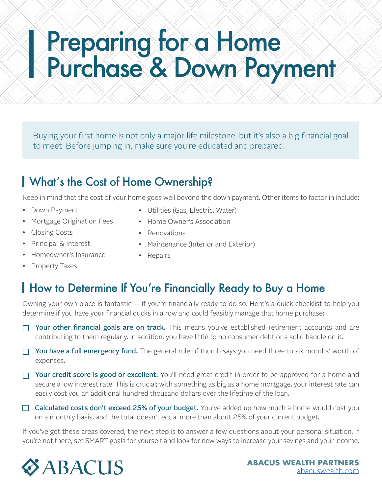# Preparing for a Home Purchase & Down Payment

Buying your first home is not only a major life milestone, but it's also a big financial goal to meet. Before jumping in, make sure you're educated and prepared.

## What's the Cost of Home Ownership?

Keep in mind that the cost of your home goes well beyond the down payment. Other items to factor in include:

- Down Payment
- Mortgage Origination Fees
- Closing Costs
- Principal & Interest
- Homeowner's Insurance
- Property Taxes
- Utilities (Gas, Electric, Water)
- Home Owner's Association
- Renovations
- Maintenance (Interior and Exterior)
- Repairs

### How to Determine If You're Financially Ready to Buy a Home

Owning your own place is fantastic -- if you're financially ready to do so. Here's a quick checklist to help you determine if you have your financial ducks in a row and could feasibly manage that home purchase:

- $\Box$  Your other financial goals are on track. This means you've established retirement accounts and are contributing to them regularly. In addition, you have little to no consumer debt or a solid handle on it.
- $\Box$  You have a full emergency fund. The general rule of thumb says you need three to six months' worth of expenses.
- $\Box$  Your credit score is good or excellent. You'll need great credit in order to be approved for a home and secure a low interest rate. This is crucial; with something as big as a home mortgage, your interest rate can easily cost you an additional hundred thousand dollars over the lifetime of the loan.
- $\Box$  Calculated costs don't exceed 25% of your budget. You've added up how much a home would cost you on a monthly basis, and the total doesn't equal more than about 25% of your current budget.

If you've got these areas covered, the next step is to answer a few questions about your personal situation. If you're not there, set SMART goals for yourself and look for new ways to increase your savings and your income.

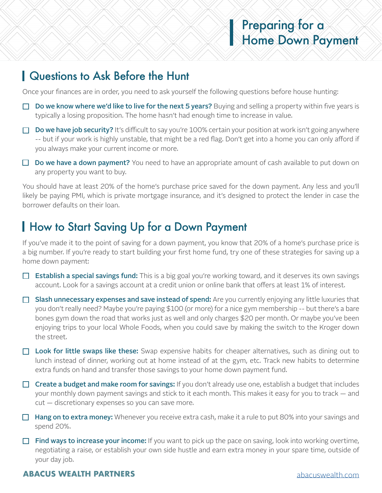#### Questions to Ask Before the Hunt

Once your finances are in order, you need to ask yourself the following questions before house hunting:

- $\Box$  Do we know where we'd like to live for the next 5 years? Buying and selling a property within five years is typically a losing proposition. The home hasn't had enough time to increase in value.
- $\Box$  Do we have job security? It's difficult to say you're 100% certain your position at work isn't going anywhere -- but if your work is highly unstable, that might be a red flag. Don't get into a home you can only afford if you always make your current income or more.
- $\Box$  Do we have a down payment? You need to have an appropriate amount of cash available to put down on any property you want to buy.

You should have at least 20% of the home's purchase price saved for the down payment. Any less and you'll likely be paying PMI, which is private mortgage insurance, and it's designed to protect the lender in case the borrower defaults on their loan.

### **How to Start Saving Up for a Down Payment**

If you've made it to the point of saving for a down payment, you know that 20% of a home's purchase price is a big number. If you're ready to start building your first home fund, try one of these strategies for saving up a home down payment:

- $\Box$  Establish a special savings fund: This is a big goal you're working toward, and it deserves its own savings account. Look for a savings account at a credit union or online bank that offers at least 1% of interest.
- $\Box$  Slash unnecessary expenses and save instead of spend: Are you currently enjoying any little luxuries that you don't really need? Maybe you're paying \$100 (or more) for a nice gym membership -- but there's a bare bones gym down the road that works just as well and only charges \$20 per month. Or maybe you've been enjoying trips to your local Whole Foods, when you could save by making the switch to the Kroger down the street.
- $\Box$  Look for little swaps like these: Swap expensive habits for cheaper alternatives, such as dining out to lunch instead of dinner, working out at home instead of at the gym, etc. Track new habits to determine extra funds on hand and transfer those savings to your home down payment fund.
- $\Box$  Create a budget and make room for savings: If you don't already use one, establish a budget that includes your monthly down payment savings and stick to it each month. This makes it easy for you to track — and cut — discretionary expenses so you can save more.
- $\Box$  Hang on to extra money: Whenever you receive extra cash, make it a rule to put 80% into your savings and spend 20%.
- **Find ways to increase your income:** If you want to pick up the pace on saving, look into working overtime, negotiating a raise, or establish your own side hustle and earn extra money in your spare time, outside of your day job.

#### **ABACUS WEALTH PARTNERS** [abacuswealth.com](http://www.abacuswealth.com)